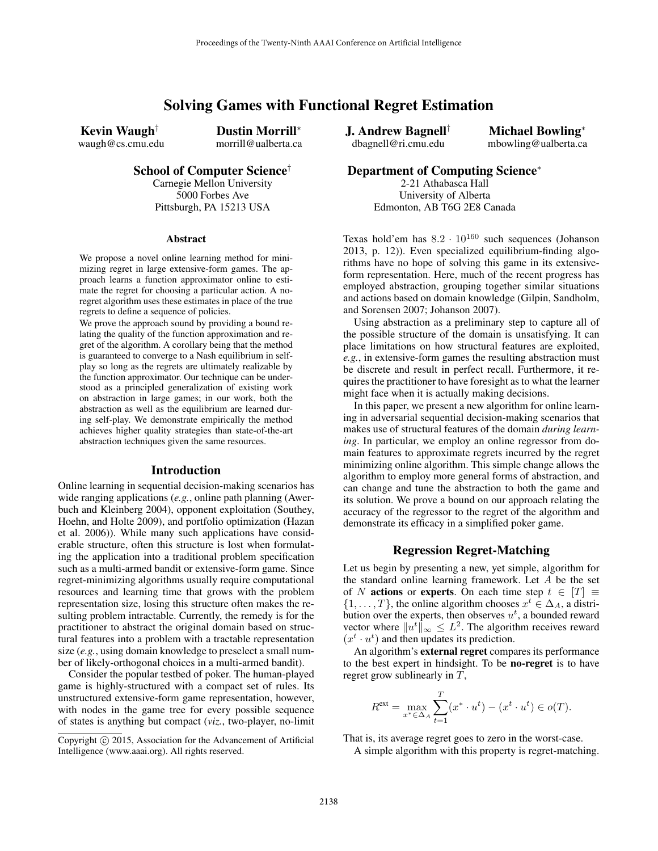# Solving Games with Functional Regret Estimation

Kevin Waugh† waugh@cs.cmu.edu Dustin Morrill<sup>∗</sup> morrill@ualberta.ca

School of Computer Science†

Carnegie Mellon University 5000 Forbes Ave Pittsburgh, PA 15213 USA

#### Abstract

We propose a novel online learning method for minimizing regret in large extensive-form games. The approach learns a function approximator online to estimate the regret for choosing a particular action. A noregret algorithm uses these estimates in place of the true regrets to define a sequence of policies.

We prove the approach sound by providing a bound relating the quality of the function approximation and regret of the algorithm. A corollary being that the method is guaranteed to converge to a Nash equilibrium in selfplay so long as the regrets are ultimately realizable by the function approximator. Our technique can be understood as a principled generalization of existing work on abstraction in large games; in our work, both the abstraction as well as the equilibrium are learned during self-play. We demonstrate empirically the method achieves higher quality strategies than state-of-the-art abstraction techniques given the same resources.

#### Introduction

Online learning in sequential decision-making scenarios has wide ranging applications (*e.g.*, online path planning (Awerbuch and Kleinberg 2004), opponent exploitation (Southey, Hoehn, and Holte 2009), and portfolio optimization (Hazan et al. 2006)). While many such applications have considerable structure, often this structure is lost when formulating the application into a traditional problem specification such as a multi-armed bandit or extensive-form game. Since regret-minimizing algorithms usually require computational resources and learning time that grows with the problem representation size, losing this structure often makes the resulting problem intractable. Currently, the remedy is for the practitioner to abstract the original domain based on structural features into a problem with a tractable representation size (*e.g.*, using domain knowledge to preselect a small number of likely-orthogonal choices in a multi-armed bandit).

Consider the popular testbed of poker. The human-played game is highly-structured with a compact set of rules. Its unstructured extensive-form game representation, however, with nodes in the game tree for every possible sequence of states is anything but compact (*viz.*, two-player, no-limit

Copyright  $\odot$  2015, Association for the Advancement of Artificial Intelligence (www.aaai.org). All rights reserved.

J. Andrew Bagnell† dbagnell@ri.cmu.edu

Michael Bowling<sup>∗</sup> mbowling@ualberta.ca

# Department of Computing Science<sup>∗</sup>

2-21 Athabasca Hall University of Alberta Edmonton, AB T6G 2E8 Canada

Texas hold'em has  $8.2 \cdot 10^{160}$  such sequences (Johanson 2013, p. 12)). Even specialized equilibrium-finding algorithms have no hope of solving this game in its extensiveform representation. Here, much of the recent progress has employed abstraction, grouping together similar situations and actions based on domain knowledge (Gilpin, Sandholm, and Sorensen 2007; Johanson 2007).

Using abstraction as a preliminary step to capture all of the possible structure of the domain is unsatisfying. It can place limitations on how structural features are exploited, *e.g.*, in extensive-form games the resulting abstraction must be discrete and result in perfect recall. Furthermore, it requires the practitioner to have foresight as to what the learner might face when it is actually making decisions.

In this paper, we present a new algorithm for online learning in adversarial sequential decision-making scenarios that makes use of structural features of the domain *during learning*. In particular, we employ an online regressor from domain features to approximate regrets incurred by the regret minimizing online algorithm. This simple change allows the algorithm to employ more general forms of abstraction, and can change and tune the abstraction to both the game and its solution. We prove a bound on our approach relating the accuracy of the regressor to the regret of the algorithm and demonstrate its efficacy in a simplified poker game.

## Regression Regret-Matching

Let us begin by presenting a new, yet simple, algorithm for the standard online learning framework. Let A be the set of N actions or experts. On each time step  $t \in [T] \equiv$  $\{1, \ldots, T\}$ , the online algorithm chooses  $x^t \in \Delta_A$ , a distribution over the experts, then observes  $u^t$ , a bounded reward vector where  $||u^t||_{\infty} \leq L^2$ . The algorithm receives reward  $(x<sup>t</sup> · u<sup>t</sup>)$  and then updates its prediction.

An algorithm's external regret compares its performance to the best expert in hindsight. To be no-regret is to have regret grow sublinearly in T,

$$
R^{\text{ext}} = \max_{x^* \in \Delta_A} \sum_{t=1}^T (x^* \cdot u^t) - (x^t \cdot u^t) \in o(T).
$$

That is, its average regret goes to zero in the worst-case.

A simple algorithm with this property is regret-matching.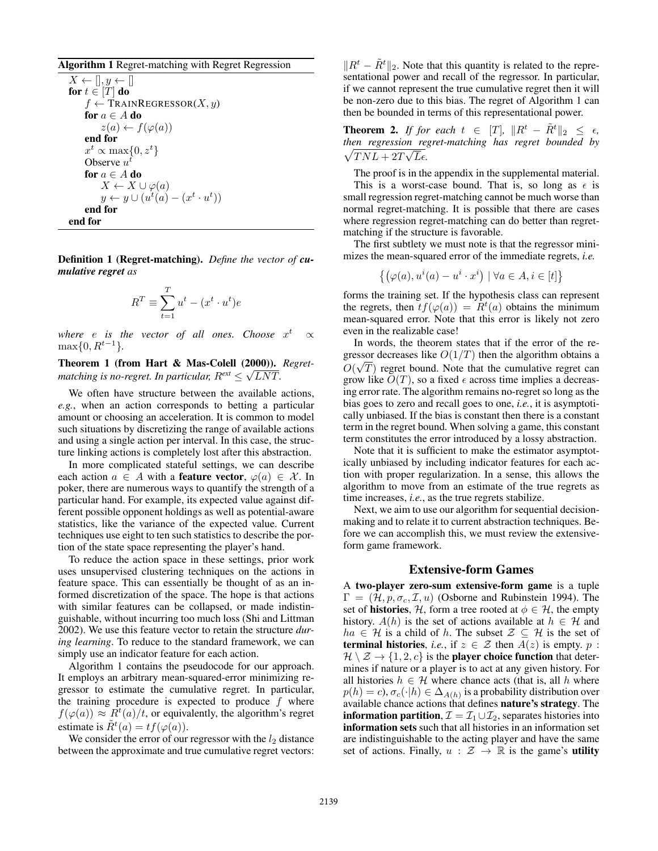## Algorithm 1 Regret-matching with Regret Regression

 $X \leftarrow []$ ,  $y \leftarrow []$ for  $t \in [T]$  do  $f \leftarrow$  TRAINREGRESSOR $(X, y)$ for  $a \in A$  do  $z(a) \leftarrow f(\varphi(a))$ end for  $x^t \propto \max\{0, z^t\}$ Observe  $u^t$ for  $a \in A$  do  $X \leftarrow X \cup \varphi(a)$  $y \leftarrow y \cup (u^t(a) - (x^t \cdot u^t))$ end for end for

Definition 1 (Regret-matching). *Define the vector of cumulative regret as*

$$
R^T \equiv \sum_{t=1}^T u^t - (x^t \cdot u^t)e
$$

where  $e$  is the vector of all ones. Choose  $x^t$   $\propto$  $\max\{0, R^{t-1}\}.$ 

Theorem 1 (from Hart & Mas-Colell (2000)). *Regret-*√ matching is no-regret. In particular,  $R^{\textit{ext}} \leq \sqrt{LNT}.$ 

We often have structure between the available actions, *e.g.*, when an action corresponds to betting a particular amount or choosing an acceleration. It is common to model such situations by discretizing the range of available actions and using a single action per interval. In this case, the structure linking actions is completely lost after this abstraction.

In more complicated stateful settings, we can describe each action  $a \in A$  with a **feature vector**,  $\varphi(a) \in \mathcal{X}$ . In poker, there are numerous ways to quantify the strength of a particular hand. For example, its expected value against different possible opponent holdings as well as potential-aware statistics, like the variance of the expected value. Current techniques use eight to ten such statistics to describe the portion of the state space representing the player's hand.

To reduce the action space in these settings, prior work uses unsupervised clustering techniques on the actions in feature space. This can essentially be thought of as an informed discretization of the space. The hope is that actions with similar features can be collapsed, or made indistinguishable, without incurring too much loss (Shi and Littman 2002). We use this feature vector to retain the structure *during learning*. To reduce to the standard framework, we can simply use an indicator feature for each action.

Algorithm 1 contains the pseudocode for our approach. It employs an arbitrary mean-squared-error minimizing regressor to estimate the cumulative regret. In particular, the training procedure is expected to produce  $f$  where  $f(\varphi(a)) \approx R^t(a)/t$ , or equivalently, the algorithm's regret estimate is  $\tilde{R}^t(a) = tf(\varphi(a)).$ 

We consider the error of our regressor with the  $l_2$  distance between the approximate and true cumulative regret vectors:

 $\Vert R^t - \tilde{R}^t \Vert_2$ . Note that this quantity is related to the representational power and recall of the regressor. In particular, if we cannot represent the true cumulative regret then it will be non-zero due to this bias. The regret of Algorithm 1 can then be bounded in terms of this representational power.

**Theorem 2.** *If for each*  $t \in [T]$ ,  $||R^t - \tilde{R}^t||_2 \leq \epsilon$ , *then regression regret-matching has regret bounded by* √  $\sqrt{T N L + 2T \sqrt{L} \epsilon}.$ 

The proof is in the appendix in the supplemental material.

This is a worst-case bound. That is, so long as  $\epsilon$  is small regression regret-matching cannot be much worse than normal regret-matching. It is possible that there are cases where regression regret-matching can do better than regretmatching if the structure is favorable.

The first subtlety we must note is that the regressor minimizes the mean-squared error of the immediate regrets, *i.e.*

$$
\{(\varphi(a), u^i(a) - u^i \cdot x^i) \mid \forall a \in A, i \in [t] \}
$$

forms the training set. If the hypothesis class can represent the regrets, then  $tf(\varphi(a)) = \hat{R}^t(a)$  obtains the minimum mean-squared error. Note that this error is likely not zero even in the realizable case!

In words, the theorem states that if the error of the regressor decreases like  $O(1/T)$  then the algorithm obtains a  $O(\sqrt{T})$  regret bound. Note that the cumulative regret can grow like  $O(T)$ , so a fixed  $\epsilon$  across time implies a decreasing error rate. The algorithm remains no-regret so long as the bias goes to zero and recall goes to one, *i.e.*, it is asymptotically unbiased. If the bias is constant then there is a constant term in the regret bound. When solving a game, this constant term constitutes the error introduced by a lossy abstraction.

Note that it is sufficient to make the estimator asymptotically unbiased by including indicator features for each action with proper regularization. In a sense, this allows the algorithm to move from an estimate of the true regrets as time increases, *i.e.*, as the true regrets stabilize.

Next, we aim to use our algorithm for sequential decisionmaking and to relate it to current abstraction techniques. Before we can accomplish this, we must review the extensiveform game framework.

#### Extensive-form Games

A two-player zero-sum extensive-form game is a tuple  $\Gamma = (\mathcal{H}, p, \sigma_c, \mathcal{I}, u)$  (Osborne and Rubinstein 1994). The set of **histories**, H, form a tree rooted at  $\phi \in \mathcal{H}$ , the empty history.  $A(h)$  is the set of actions available at  $h \in \mathcal{H}$  and  $ha \in \mathcal{H}$  is a child of h. The subset  $\mathcal{Z} \subseteq \mathcal{H}$  is the set of **terminal histories**, *i.e.*, if  $z \in \mathcal{Z}$  then  $A(z)$  is empty. p :  $\mathcal{H} \setminus \mathcal{Z} \rightarrow \{1, 2, c\}$  is the **player choice function** that determines if nature or a player is to act at any given history. For all histories  $h \in \mathcal{H}$  where chance acts (that is, all h where  $p(h) = c$ ),  $\sigma_c(\cdot|h) \in \Delta_{A(h)}$  is a probability distribution over available chance actions that defines nature's strategy. The **information partition,**  $\mathcal{I} = \mathcal{I}_1 \cup \mathcal{I}_2$ , separates histories into information sets such that all histories in an information set are indistinguishable to the acting player and have the same set of actions. Finally,  $u : \mathcal{Z} \to \mathbb{R}$  is the game's **utility**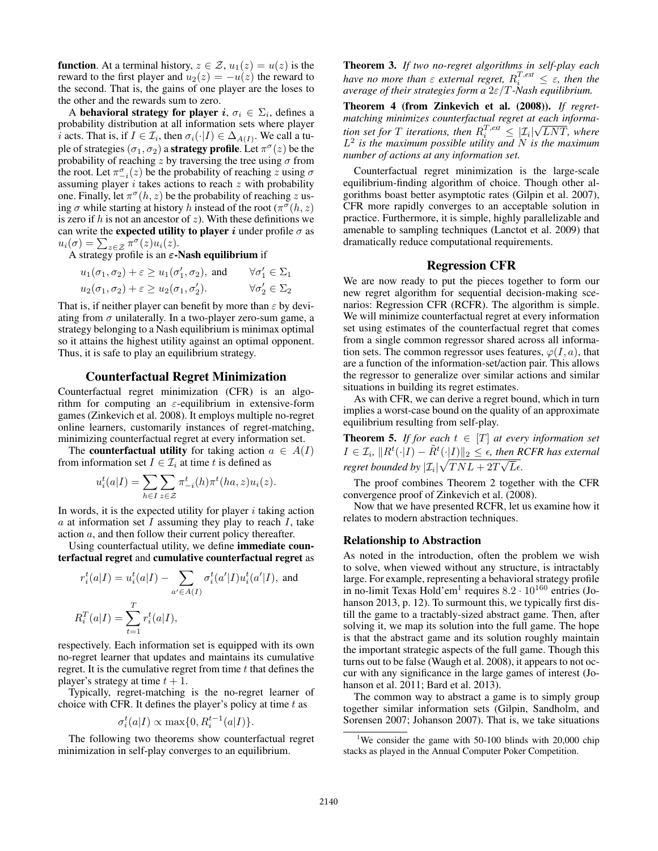**function.** At a terminal history,  $z \in \mathcal{Z}$ ,  $u_1(z) = u(z)$  is the reward to the first player and  $u_2(z) = -u(z)$  the reward to the second. That is, the gains of one player are the loses to the other and the rewards sum to zero.

A behavioral strategy for player  $i, \sigma_i \in \Sigma_i$ , defines a probability distribution at all information sets where player *i* acts. That is, if  $I \in \mathcal{I}_i$ , then  $\sigma_i(\cdot | I) \in \Delta_{A(I)}$ . We call a tuple of strategies  $(\sigma_1,\sigma_2)$  a **strategy profile**. Let  $\pi^{\sigma}(z)$  be the probability of reaching z by traversing the tree using  $\sigma$  from the root. Let  $\pi_{-i}^{\sigma}(z)$  be the probability of reaching z using  $\sigma$ assuming player  $i$  takes actions to reach  $z$  with probability one. Finally, let  $\pi^{\sigma}(h, z)$  be the probability of reaching z using  $\sigma$  while starting at history h instead of the root  $(\pi^{\sigma}(h, z))$ is zero if h is not an ancestor of z). With these definitions we can write the expected utility to player i under profile  $\sigma$  as  $u_i(\sigma) = \sum_{z \in \mathcal{Z}} \overline{\pi}^{\sigma}(z) u_i(z).$ 

A strategy profile is an  $\varepsilon$ -Nash equilibrium if

$$
u_1(\sigma_1, \sigma_2) + \varepsilon \ge u_1(\sigma'_1, \sigma_2), \text{ and } \forall \sigma'_1 \in \Sigma_1
$$
  

$$
u_2(\sigma_1, \sigma_2) + \varepsilon \ge u_2(\sigma_1, \sigma'_2). \qquad \forall \sigma'_2 \in \Sigma_2
$$

That is, if neither player can benefit by more than  $\varepsilon$  by deviating from  $\sigma$  unilaterally. In a two-player zero-sum game, a strategy belonging to a Nash equilibrium is minimax optimal so it attains the highest utility against an optimal opponent. Thus, it is safe to play an equilibrium strategy.

## Counterfactual Regret Minimization

Counterfactual regret minimization (CFR) is an algorithm for computing an  $\varepsilon$ -equilibrium in extensive-form games (Zinkevich et al. 2008). It employs multiple no-regret online learners, customarily instances of regret-matching, minimizing counterfactual regret at every information set.

The **counterfactual utility** for taking action  $a \in A(I)$ from information set  $I \in \mathcal{I}_i$  at time t is defined as

$$
u_i^t(a|I) = \sum_{h \in I} \sum_{z \in \mathcal{Z}} \pi^t_{-i}(h) \pi^t(ha, z) u_i(z).
$$

In words, it is the expected utility for player  $i$  taking action  $a$  at information set  $I$  assuming they play to reach  $I$ , take action a, and then follow their current policy thereafter.

Using counterfactual utility, we define immediate counterfactual regret and cumulative counterfactual regret as

$$
r_i^t(a|I) = u_i^t(a|I) - \sum_{a' \in A(I)} \sigma_i^t(a'|I)u_i^t(a'|I), \text{ and}
$$
  

$$
R_i^T(a|I) = \sum_{t=1}^T r_i^t(a|I),
$$

respectively. Each information set is equipped with its own no-regret learner that updates and maintains its cumulative regret. It is the cumulative regret from time  $t$  that defines the player's strategy at time  $t + 1$ .

Typically, regret-matching is the no-regret learner of choice with CFR. It defines the player's policy at time  $t$  as

$$
\sigma_i^t(a|I) \propto \max\{0, R_i^{t-1}(a|I)\}.
$$

The following two theorems show counterfactual regret minimization in self-play converges to an equilibrium.

Theorem 3. *If two no-regret algorithms in self-play each have no more than*  $\varepsilon$  *external regret,*  $R_i^{T,\text{ext}} \leq \varepsilon$ *, then the average of their strategies form a* 2ε/T*-Nash equilibrium.*

Theorem 4 (from Zinkevich et al. (2008)). *If regretmatching minimizes counterfactual regret at each information set for* T *iterations, then*  $R_i^{T,\text{ext}} \leq |\mathcal{I}_i|$ √ LNT*, where* L 2 *is the maximum possible utility and* N *is the maximum number of actions at any information set.*

Counterfactual regret minimization is the large-scale equilibrium-finding algorithm of choice. Though other algorithms boast better asymptotic rates (Gilpin et al. 2007), CFR more rapidly converges to an acceptable solution in practice. Furthermore, it is simple, highly parallelizable and amenable to sampling techniques (Lanctot et al. 2009) that dramatically reduce computational requirements.

## Regression CFR

We are now ready to put the pieces together to form our new regret algorithm for sequential decision-making scenarios: Regression CFR (RCFR). The algorithm is simple. We will minimize counterfactual regret at every information set using estimates of the counterfactual regret that comes from a single common regressor shared across all information sets. The common regressor uses features,  $\varphi(I, a)$ , that are a function of the information-set/action pair. This allows the regressor to generalize over similar actions and similar situations in building its regret estimates.

As with CFR, we can derive a regret bound, which in turn implies a worst-case bound on the quality of an approximate equilibrium resulting from self-play.

**Theorem 5.** *If for each*  $t \in [T]$  *at every information set*  $I \in \mathcal{I}_i$ ,  $\|R^t(\cdot|I) - \tilde{R}^t(\cdot|I)\|_2 \leq \epsilon$ , then RCFR has external *regret bounded by*  $|\mathcal{I}_i| \sqrt{TNL + 2T\sqrt{L}\epsilon}$ .

The proof combines Theorem 2 together with the CFR convergence proof of Zinkevich et al. (2008).

Now that we have presented RCFR, let us examine how it relates to modern abstraction techniques.

#### Relationship to Abstraction

As noted in the introduction, often the problem we wish to solve, when viewed without any structure, is intractably large. For example, representing a behavioral strategy profile in no-limit Texas Hold'em<sup>1</sup> requires  $8.2 \cdot 10^{160}$  entries (Johanson 2013, p. 12). To surmount this, we typically first distill the game to a tractably-sized abstract game. Then, after solving it, we map its solution into the full game. The hope is that the abstract game and its solution roughly maintain the important strategic aspects of the full game. Though this turns out to be false (Waugh et al. 2008), it appears to not occur with any significance in the large games of interest (Johanson et al. 2011; Bard et al. 2013).

The common way to abstract a game is to simply group together similar information sets (Gilpin, Sandholm, and Sorensen 2007; Johanson 2007). That is, we take situations

<sup>&</sup>lt;sup>1</sup>We consider the game with 50-100 blinds with 20,000 chip stacks as played in the Annual Computer Poker Competition.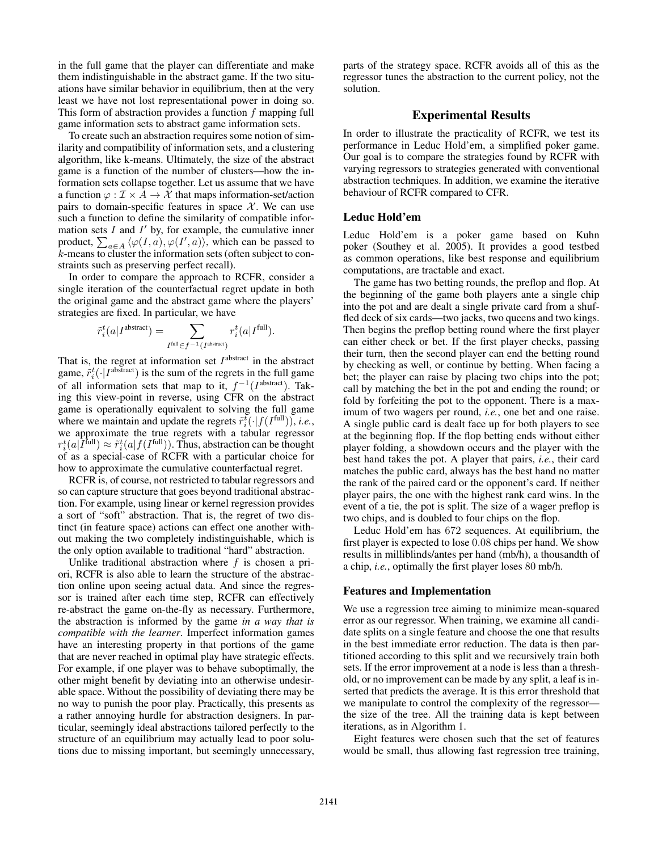in the full game that the player can differentiate and make them indistinguishable in the abstract game. If the two situations have similar behavior in equilibrium, then at the very least we have not lost representational power in doing so. This form of abstraction provides a function  $f$  mapping full game information sets to abstract game information sets.

To create such an abstraction requires some notion of similarity and compatibility of information sets, and a clustering algorithm, like k-means. Ultimately, the size of the abstract game is a function of the number of clusters—how the information sets collapse together. Let us assume that we have a function  $\varphi : \mathcal{I} \times A \to \mathcal{X}$  that maps information-set/action pairs to domain-specific features in space  $X$ . We can use such a function to define the similarity of compatible information sets  $I$  and  $I'$  by, for example, the cumulative inner product,  $\sum_{a \in A} \langle \varphi(I, a), \varphi(I', a) \rangle$ , which can be passed to k-means to cluster the information sets (often subject to constraints such as preserving perfect recall).

In order to compare the approach to RCFR, consider a single iteration of the counterfactual regret update in both the original game and the abstract game where the players' strategies are fixed. In particular, we have

$$
\tilde{r}_i^t(a|I^{\text{abstract}}) = \sum_{I^{\text{full}} \in f^{-1}(I^{\text{abstract}})} r_i^t(a|I^{\text{full}}).
$$

That is, the regret at information set  $I<sup>abstract</sup>$  in the abstract game,  $\tilde{r}_i^t(\cdot | I^{\text{abstract}})$  is the sum of the regrets in the full game of all information sets that map to it,  $f^{-1}(I^{\text{abstract}})$ . Taking this view-point in reverse, using CFR on the abstract game is operationally equivalent to solving the full game where we maintain and update the regrets  $\tilde{r}_i^{\tilde{t}}(\cdot | f(I^{\text{full}})), i.e.,$ we approximate the true regrets with a tabular regressor  $r_i^t(a|\bar{I}^{\text{full}}) \approx \tilde{r}_i^t(a|f(I^{\text{full}})).$  Thus, abstraction can be thought of as a special-case of RCFR with a particular choice for how to approximate the cumulative counterfactual regret.

RCFR is, of course, not restricted to tabular regressors and so can capture structure that goes beyond traditional abstraction. For example, using linear or kernel regression provides a sort of "soft" abstraction. That is, the regret of two distinct (in feature space) actions can effect one another without making the two completely indistinguishable, which is the only option available to traditional "hard" abstraction.

Unlike traditional abstraction where  $f$  is chosen a priori, RCFR is also able to learn the structure of the abstraction online upon seeing actual data. And since the regressor is trained after each time step, RCFR can effectively re-abstract the game on-the-fly as necessary. Furthermore, the abstraction is informed by the game *in a way that is compatible with the learner*. Imperfect information games have an interesting property in that portions of the game that are never reached in optimal play have strategic effects. For example, if one player was to behave suboptimally, the other might benefit by deviating into an otherwise undesirable space. Without the possibility of deviating there may be no way to punish the poor play. Practically, this presents as a rather annoying hurdle for abstraction designers. In particular, seemingly ideal abstractions tailored perfectly to the structure of an equilibrium may actually lead to poor solutions due to missing important, but seemingly unnecessary,

parts of the strategy space. RCFR avoids all of this as the regressor tunes the abstraction to the current policy, not the solution.

## Experimental Results

In order to illustrate the practicality of RCFR, we test its performance in Leduc Hold'em, a simplified poker game. Our goal is to compare the strategies found by RCFR with varying regressors to strategies generated with conventional abstraction techniques. In addition, we examine the iterative behaviour of RCFR compared to CFR.

#### Leduc Hold'em

Leduc Hold'em is a poker game based on Kuhn poker (Southey et al. 2005). It provides a good testbed as common operations, like best response and equilibrium computations, are tractable and exact.

The game has two betting rounds, the preflop and flop. At the beginning of the game both players ante a single chip into the pot and are dealt a single private card from a shuffled deck of six cards—two jacks, two queens and two kings. Then begins the preflop betting round where the first player can either check or bet. If the first player checks, passing their turn, then the second player can end the betting round by checking as well, or continue by betting. When facing a bet; the player can raise by placing two chips into the pot; call by matching the bet in the pot and ending the round; or fold by forfeiting the pot to the opponent. There is a maximum of two wagers per round, *i.e.*, one bet and one raise. A single public card is dealt face up for both players to see at the beginning flop. If the flop betting ends without either player folding, a showdown occurs and the player with the best hand takes the pot. A player that pairs, *i.e.*, their card matches the public card, always has the best hand no matter the rank of the paired card or the opponent's card. If neither player pairs, the one with the highest rank card wins. In the event of a tie, the pot is split. The size of a wager preflop is two chips, and is doubled to four chips on the flop.

Leduc Hold'em has 672 sequences. At equilibrium, the first player is expected to lose 0.08 chips per hand. We show results in milliblinds/antes per hand (mb/h), a thousandth of a chip, *i.e.*, optimally the first player loses 80 mb/h.

## Features and Implementation

We use a regression tree aiming to minimize mean-squared error as our regressor. When training, we examine all candidate splits on a single feature and choose the one that results in the best immediate error reduction. The data is then partitioned according to this split and we recursively train both sets. If the error improvement at a node is less than a threshold, or no improvement can be made by any split, a leaf is inserted that predicts the average. It is this error threshold that we manipulate to control the complexity of the regressor the size of the tree. All the training data is kept between iterations, as in Algorithm 1.

Eight features were chosen such that the set of features would be small, thus allowing fast regression tree training,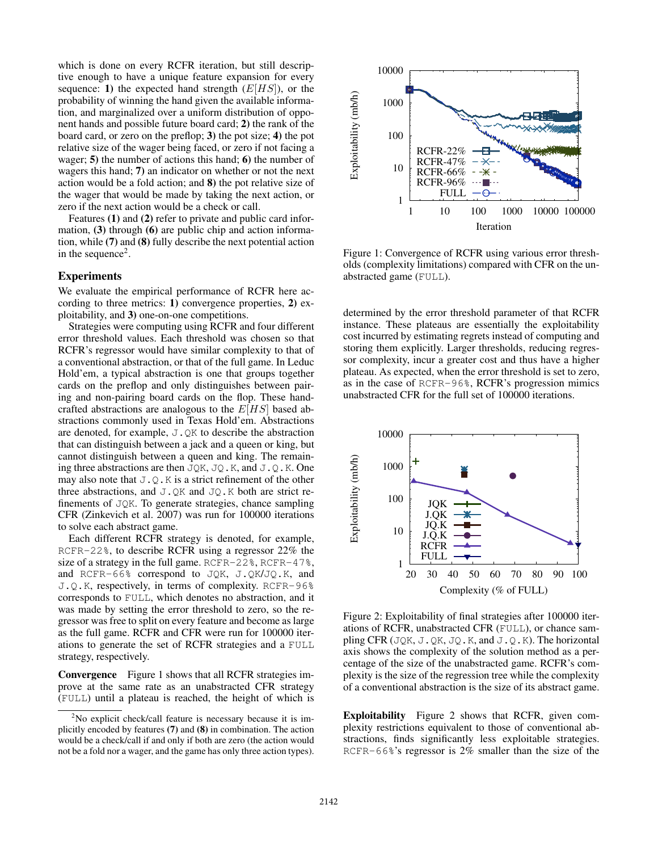which is done on every RCFR iteration, but still descriptive enough to have a unique feature expansion for every sequence: 1) the expected hand strength  $(E[HS])$ , or the probability of winning the hand given the available information, and marginalized over a uniform distribution of opponent hands and possible future board card; 2) the rank of the board card, or zero on the preflop; 3) the pot size; 4) the pot relative size of the wager being faced, or zero if not facing a wager; 5) the number of actions this hand; 6) the number of wagers this hand; 7) an indicator on whether or not the next action would be a fold action; and 8) the pot relative size of the wager that would be made by taking the next action, or zero if the next action would be a check or call.

Features (1) and (2) refer to private and public card information, (3) through (6) are public chip and action information, while (7) and (8) fully describe the next potential action in the sequence<sup>2</sup>.

#### Experiments

We evaluate the empirical performance of RCFR here according to three metrics: 1) convergence properties, 2) exploitability, and 3) one-on-one competitions.

Strategies were computing using RCFR and four different error threshold values. Each threshold was chosen so that RCFR's regressor would have similar complexity to that of a conventional abstraction, or that of the full game. In Leduc Hold'em, a typical abstraction is one that groups together cards on the preflop and only distinguishes between pairing and non-pairing board cards on the flop. These handcrafted abstractions are analogous to the  $E[HS]$  based abstractions commonly used in Texas Hold'em. Abstractions are denoted, for example, J.QK to describe the abstraction that can distinguish between a jack and a queen or king, but cannot distinguish between a queen and king. The remaining three abstractions are then  $JQK$ ,  $JQ$ .K, and  $JQ$ .K. One may also note that  $J. Q.K$  is a strict refinement of the other three abstractions, and  $J.QK$  and  $JQ.K$  both are strict refinements of JQK. To generate strategies, chance sampling CFR (Zinkevich et al. 2007) was run for 100000 iterations to solve each abstract game.

Each different RCFR strategy is denoted, for example, RCFR-22%, to describe RCFR using a regressor 22% the size of a strategy in the full game. RCFR-22%, RCFR-47%, and RCFR-66% correspond to JQK, J.QK/JQ.K, and J.Q.K, respectively, in terms of complexity. RCFR-96% corresponds to FULL, which denotes no abstraction, and it was made by setting the error threshold to zero, so the regressor was free to split on every feature and become as large as the full game. RCFR and CFR were run for 100000 iterations to generate the set of RCFR strategies and a FULL strategy, respectively.

Convergence Figure 1 shows that all RCFR strategies improve at the same rate as an unabstracted CFR strategy (FULL) until a plateau is reached, the height of which is



Figure 1: Convergence of RCFR using various error thresholds (complexity limitations) compared with CFR on the unabstracted game (FULL).

determined by the error threshold parameter of that RCFR instance. These plateaus are essentially the exploitability cost incurred by estimating regrets instead of computing and storing them explicitly. Larger thresholds, reducing regressor complexity, incur a greater cost and thus have a higher plateau. As expected, when the error threshold is set to zero, as in the case of RCFR-96%, RCFR's progression mimics unabstracted CFR for the full set of 100000 iterations.



Figure 2: Exploitability of final strategies after 100000 iterations of RCFR, unabstracted CFR (FULL), or chance sampling CFR (JQK, J.QK, JQ.K, and J.Q.K). The horizontal axis shows the complexity of the solution method as a percentage of the size of the unabstracted game. RCFR's complexity is the size of the regression tree while the complexity of a conventional abstraction is the size of its abstract game.

Exploitability Figure 2 shows that RCFR, given complexity restrictions equivalent to those of conventional abstractions, finds significantly less exploitable strategies. RCFR-66%'s regressor is 2% smaller than the size of the

 $2$ No explicit check/call feature is necessary because it is implicitly encoded by features (7) and (8) in combination. The action would be a check/call if and only if both are zero (the action would not be a fold nor a wager, and the game has only three action types).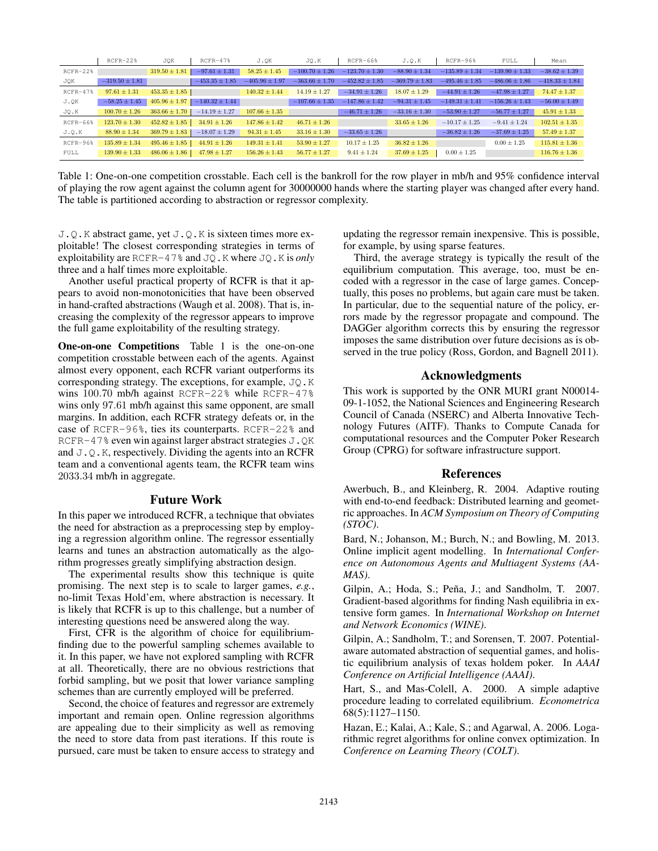|            | $RCFR-22%$         | JOK               | $RCFR-47%$         | J.OK               | JQ.K               | $RCFR-66%$         | J.O.K              | $RCFR-96%$         | FULL               | Mean               |
|------------|--------------------|-------------------|--------------------|--------------------|--------------------|--------------------|--------------------|--------------------|--------------------|--------------------|
| $RCFR-22%$ |                    | $319.50 \pm 1.81$ | $-97.61 \pm 1.31$  | $58.25 \pm 1.45$   | $-100.70 \pm 1.26$ | $-123.70 \pm 1.30$ | $-88.90 \pm 1.34$  | $-135.89 \pm 1.34$ | $-139.90 \pm 1.33$ | $-38.62 \pm 1.39$  |
| JQK        | $-319.50 \pm 1.81$ |                   | $-453.35 \pm 1.85$ | $-405.96 \pm 1.97$ | $-363.66 \pm 1.70$ | $-452.82 \pm 1.85$ | $-369.79 \pm 1.83$ | $-495.46 \pm 1.85$ | $-486.06 \pm 1.86$ | $-418.33 \pm 1.84$ |
| $RCFR-47%$ | $97.61 \pm 1.31$   | $453.35 \pm 1.85$ |                    | $140.32 \pm 1.44$  | $14.19 \pm 1.27$   | $-34.91 \pm 1.26$  | $18.07 \pm 1.29$   | $-44.91 \pm 1.26$  | $-47.98 \pm 1.27$  | $74.47 \pm 1.37$   |
| J.QK       | $-58.25 \pm 1.45$  | $405.96 \pm 1.97$ | $-140.32 \pm 1.44$ |                    | $-107.66 \pm 1.35$ | $-147.86 \pm 1.42$ | $-94.31 \pm 1.45$  | $-149.31 \pm 1.41$ | $-156.26 \pm 1.43$ | $-56.00 \pm 1.49$  |
| JQ.K       | $100.70 \pm 1.26$  | $363.66 \pm 1.70$ | $-14.19 \pm 1.27$  | $107.66 \pm 1.35$  |                    | $-46.71 \pm 1.26$  | $-33.16 \pm 1.30$  | $-53.90 \pm 1.27$  | $-56.77 \pm 1.27$  | $45.91 \pm 1.33$   |
| $RCFR-66%$ | $123.70 \pm 1.30$  | $452.82 \pm 1.85$ | $34.91 \pm 1.26$   | $147.86 \pm 1.42$  | $46.71 \pm 1.26$   |                    | $33.65 \pm 1.26$   | $-10.17 \pm 1.25$  | $-9.41 \pm 1.24$   | $102.51 \pm 1.35$  |
| J.O.K      | $88.90 \pm 1.34$   | $369.79 \pm 1.83$ | $-18.07 \pm 1.29$  | $94.31 \pm 1.45$   | $33.16 \pm 1.30$   | $-33.65 \pm 1.26$  |                    | $-36.82 \pm 1.26$  | $-37.69 \pm 1.25$  | $57.49 \pm 1.37$   |
| RCFR-96%   | $135.89 \pm 1.34$  | $495.46 \pm 1.85$ | $44.91 \pm 1.26$   | $149.31 \pm 1.41$  | $53.90 \pm 1.27$   | $10.17 \pm 1.25$   | $36.82 \pm 1.26$   |                    | $0.00 \pm 1.25$    | $115.81 \pm 1.36$  |
| FULL       | $139.90 \pm 1.33$  | $486.06 \pm 1.86$ | $47.98 \pm 1.27$   | $156.26 \pm 1.43$  | $56.77 \pm 1.27$   | $9.41 \pm 1.24$    | $37.69 \pm 1.25$   | $0.00 \pm 1.25$    |                    | $116.76 \pm 1.36$  |

Table 1: One-on-one competition crosstable. Each cell is the bankroll for the row player in mb/h and 95% confidence interval of playing the row agent against the column agent for 30000000 hands where the starting player was changed after every hand. The table is partitioned according to abstraction or regressor complexity.

J.Q.K abstract game, yet J.Q.K is sixteen times more exploitable! The closest corresponding strategies in terms of exploitability are RCFR-47% and JQ.K where JQ.K is *only* three and a half times more exploitable.

Another useful practical property of RCFR is that it appears to avoid non-monotonicities that have been observed in hand-crafted abstractions (Waugh et al. 2008). That is, increasing the complexity of the regressor appears to improve the full game exploitability of the resulting strategy.

One-on-one Competitions Table 1 is the one-on-one competition crosstable between each of the agents. Against almost every opponent, each RCFR variant outperforms its corresponding strategy. The exceptions, for example, JQ.K wins 100.70 mb/h against RCFR-22% while RCFR-47% wins only 97.61 mb/h against this same opponent, are small margins. In addition, each RCFR strategy defeats or, in the case of RCFR-96%, ties its counterparts. RCFR-22% and RCFR-47% even win against larger abstract strategies J.QK and  $J. Q.K$ , respectively. Dividing the agents into an RCFR team and a conventional agents team, the RCFR team wins 2033.34 mb/h in aggregate.

## Future Work

In this paper we introduced RCFR, a technique that obviates the need for abstraction as a preprocessing step by employing a regression algorithm online. The regressor essentially learns and tunes an abstraction automatically as the algorithm progresses greatly simplifying abstraction design.

The experimental results show this technique is quite promising. The next step is to scale to larger games, *e.g.*, no-limit Texas Hold'em, where abstraction is necessary. It is likely that RCFR is up to this challenge, but a number of interesting questions need be answered along the way.

First, CFR is the algorithm of choice for equilibriumfinding due to the powerful sampling schemes available to it. In this paper, we have not explored sampling with RCFR at all. Theoretically, there are no obvious restrictions that forbid sampling, but we posit that lower variance sampling schemes than are currently employed will be preferred.

Second, the choice of features and regressor are extremely important and remain open. Online regression algorithms are appealing due to their simplicity as well as removing the need to store data from past iterations. If this route is pursued, care must be taken to ensure access to strategy and

updating the regressor remain inexpensive. This is possible, for example, by using sparse features.

Third, the average strategy is typically the result of the equilibrium computation. This average, too, must be encoded with a regressor in the case of large games. Conceptually, this poses no problems, but again care must be taken. In particular, due to the sequential nature of the policy, errors made by the regressor propagate and compound. The DAGGer algorithm corrects this by ensuring the regressor imposes the same distribution over future decisions as is observed in the true policy (Ross, Gordon, and Bagnell 2011).

## Acknowledgments

This work is supported by the ONR MURI grant N00014- 09-1-1052, the National Sciences and Engineering Research Council of Canada (NSERC) and Alberta Innovative Technology Futures (AITF). Thanks to Compute Canada for computational resources and the Computer Poker Research Group (CPRG) for software infrastructure support.

#### References

Awerbuch, B., and Kleinberg, R. 2004. Adaptive routing with end-to-end feedback: Distributed learning and geometric approaches. In *ACM Symposium on Theory of Computing (STOC)*.

Bard, N.; Johanson, M.; Burch, N.; and Bowling, M. 2013. Online implicit agent modelling. In *International Conference on Autonomous Agents and Multiagent Systems (AA-MAS)*.

Gilpin, A.; Hoda, S.; Peña, J.; and Sandholm, T. 2007. Gradient-based algorithms for finding Nash equilibria in extensive form games. In *International Workshop on Internet and Network Economics (WINE)*.

Gilpin, A.; Sandholm, T.; and Sorensen, T. 2007. Potentialaware automated abstraction of sequential games, and holistic equilibrium analysis of texas holdem poker. In *AAAI Conference on Artificial Intelligence (AAAI)*.

Hart, S., and Mas-Colell, A. 2000. A simple adaptive procedure leading to correlated equilibrium. *Econometrica* 68(5):1127–1150.

Hazan, E.; Kalai, A.; Kale, S.; and Agarwal, A. 2006. Logarithmic regret algorithms for online convex optimization. In *Conference on Learning Theory (COLT)*.